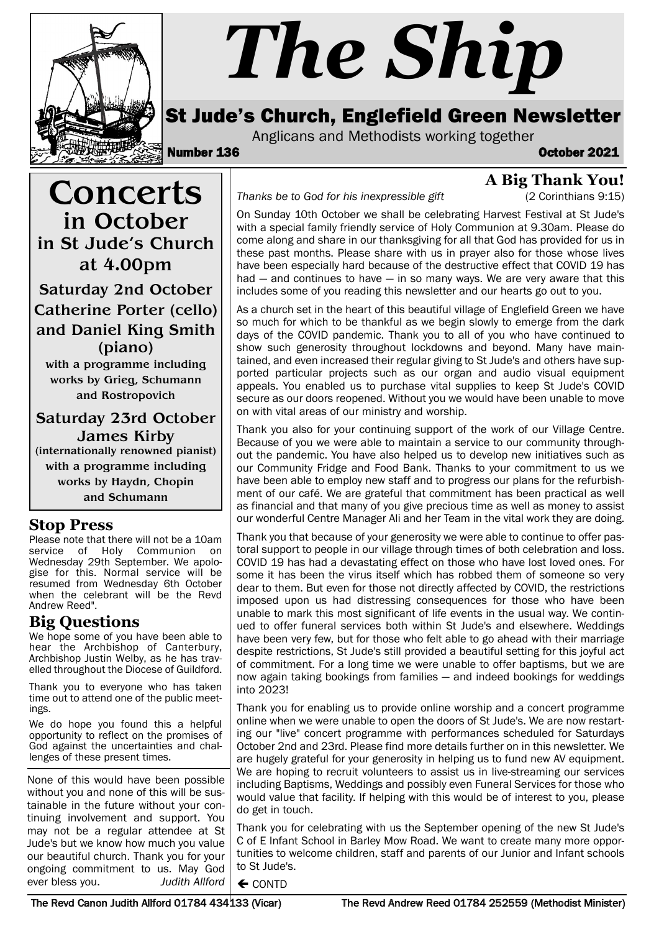

# *The Ship*

# St Jude's Church, Englefield Green Newsletter

Anglicans and Methodists working together<br>**October 2021** 

**Concerts** 

in October in St Jude's Church at 4.00pm

Saturday 2nd October Catherine Porter (cello) and Daniel King Smith (piano) with a programme including works by Grieg, Schumann and Rostropovich

Saturday 23rd October James Kirby (internationally renowned pianist) with a programme including works by Haydn, Chopin and Schumann

**A Big Thank You!**

*Thanks be to God for his inexpressible gift* (2 Corinthians 9:15)

On Sunday 10th October we shall be celebrating Harvest Festival at St Jude's with a special family friendly service of Holy Communion at 9.30am. Please do come along and share in our thanksgiving for all that God has provided for us in these past months. Please share with us in prayer also for those whose lives have been especially hard because of the destructive effect that COVID 19 has had — and continues to have — in so many ways. We are very aware that this includes some of you reading this newsletter and our hearts go out to you.

As a church set in the heart of this beautiful village of Englefield Green we have so much for which to be thankful as we begin slowly to emerge from the dark days of the COVID pandemic. Thank you to all of you who have continued to show such generosity throughout lockdowns and beyond. Many have maintained, and even increased their regular giving to St Jude's and others have supported particular projects such as our organ and audio visual equipment appeals. You enabled us to purchase vital supplies to keep St Jude's COVID secure as our doors reopened. Without you we would have been unable to move on with vital areas of our ministry and worship.

Thank you also for your continuing support of the work of our Village Centre. Because of you we were able to maintain a service to our community throughout the pandemic. You have also helped us to develop new initiatives such as our Community Fridge and Food Bank. Thanks to your commitment to us we have been able to employ new staff and to progress our plans for the refurbishment of our café. We are grateful that commitment has been practical as well as financial and that many of you give precious time as well as money to assist our wonderful Centre Manager Ali and her Team in the vital work they are doing.

Thank you that because of your generosity we were able to continue to offer pastoral support to people in our village through times of both celebration and loss. COVID 19 has had a devastating effect on those who have lost loved ones. For some it has been the virus itself which has robbed them of someone so very dear to them. But even for those not directly affected by COVID, the restrictions imposed upon us had distressing consequences for those who have been unable to mark this most significant of life events in the usual way. We continued to offer funeral services both within St Jude's and elsewhere. Weddings have been very few, but for those who felt able to go ahead with their marriage despite restrictions, St Jude's still provided a beautiful setting for this joyful act of commitment. For a long time we were unable to offer baptisms, but we are now again taking bookings from families — and indeed bookings for weddings into 2023!

Thank you for enabling us to provide online worship and a concert programme online when we were unable to open the doors of St Jude's. We are now restarting our "live" concert programme with performances scheduled for Saturdays October 2nd and 23rd. Please find more details further on in this newsletter. We are hugely grateful for your generosity in helping us to fund new AV equipment. We are hoping to recruit volunteers to assist us in live-streaming our services including Baptisms, Weddings and possibly even Funeral Services for those who would value that facility. If helping with this would be of interest to you, please do get in touch.

Thank you for celebrating with us the September opening of the new St Jude's C of E Infant School in Barley Mow Road. We want to create many more opportunities to welcome children, staff and parents of our Junior and Infant schools to St Jude's.

 $\leftarrow$  CONTD

**Stop Press** Please note that there will not be a 10am service of Holy Communion on Wednesday 29th September. We apologise for this. Normal service will be resumed from Wednesday 6th October when the celebrant will be the Revd

#### **Big Questions**

Andrew Reed".

We hope some of you have been able to hear the Archbishop of Canterbury, Archbishop Justin Welby, as he has travelled throughout the Diocese of Guildford.

Thank you to everyone who has taken time out to attend one of the public meetings.

We do hope you found this a helpful opportunity to reflect on the promises of God against the uncertainties and challenges of these present times.

None of this would have been possible without you and none of this will be sustainable in the future without your continuing involvement and support. You may not be a regular attendee at St Jude's but we know how much you value our beautiful church. Thank you for your ongoing commitment to us. May God ever bless you. *Judith Allford*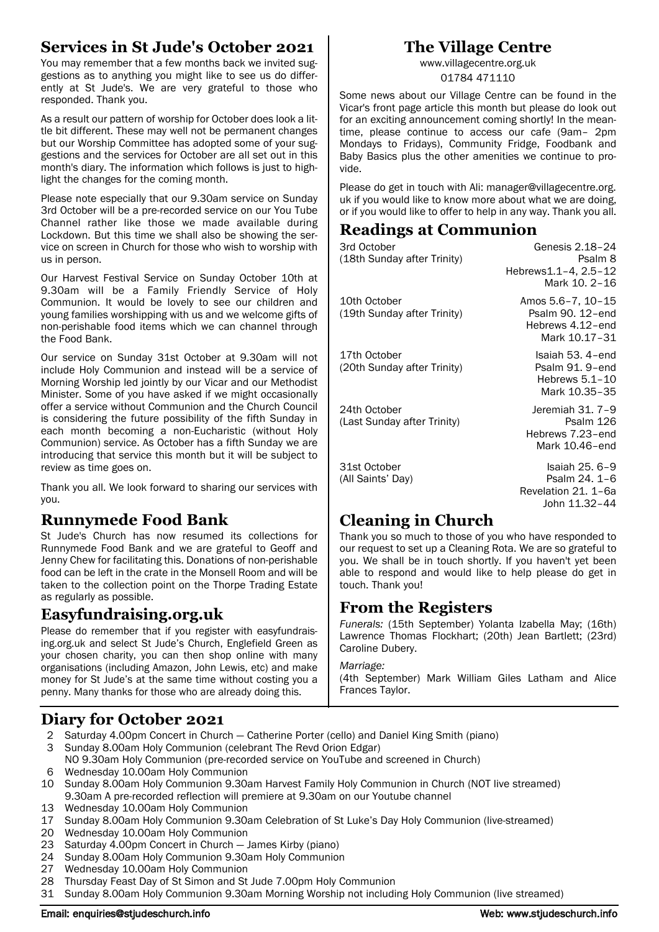## **Services in St Jude's October 2021**

You may remember that a few months back we invited suggestions as to anything you might like to see us do differently at St Jude's. We are very grateful to those who responded. Thank you.

As a result our pattern of worship for October does look a little bit different. These may well not be permanent changes but our Worship Committee has adopted some of your suggestions and the services for October are all set out in this month's diary. The information which follows is just to highlight the changes for the coming month.

Please note especially that our 9.30am service on Sunday 3rd October will be a pre-recorded service on our You Tube Channel rather like those we made available during Lockdown. But this time we shall also be showing the service on screen in Church for those who wish to worship with us in person.

Our Harvest Festival Service on Sunday October 10th at 9.30am will be a Family Friendly Service of Holy Communion. It would be lovely to see our children and young families worshipping with us and we welcome gifts of non-perishable food items which we can channel through the Food Bank.

Our service on Sunday 31st October at 9.30am will not include Holy Communion and instead will be a service of Morning Worship led jointly by our Vicar and our Methodist Minister. Some of you have asked if we might occasionally offer a service without Communion and the Church Council is considering the future possibility of the fifth Sunday in each month becoming a non-Eucharistic (without Holy Communion) service. As October has a fifth Sunday we are introducing that service this month but it will be subject to review as time goes on.

Thank you all. We look forward to sharing our services with you.

## **Runnymede Food Bank**

St Jude's Church has now resumed its collections for Runnymede Food Bank and we are grateful to Geoff and Jenny Chew for facilitating this. Donations of non-perishable food can be left in the crate in the Monsell Room and will be taken to the collection point on the Thorpe Trading Estate as regularly as possible.

## **Easyfundraising.org.uk**

Please do remember that if you register with easyfundraising.org.uk and select St Jude's Church, Englefield Green as your chosen charity, you can then shop online with many organisations (including Amazon, John Lewis, etc) and make money for St Jude's at the same time without costing you a penny. Many thanks for those who are already doing this.

# **The Village Centre**

www.villagecentre.org.uk 01784 471110

Some news about our Village Centre can be found in the Vicar's front page article this month but please do look out for an exciting announcement coming shortly! In the meantime, please continue to access our cafe (9am– 2pm Mondays to Fridays), Community Fridge, Foodbank and Baby Basics plus the other amenities we continue to provide.

Please do get in touch with Ali: manager@villagecentre.org. uk if you would like to know more about what we are doing, or if you would like to offer to help in any way. Thank you all.

## **Readings at Communion**

| 3rd October<br>(18th Sunday after Trinity)  | Genesis 2.18-24<br>Psalm 8<br>Hebrews1.1-4, 2.5-12<br>Mark 10, 2-16        |
|---------------------------------------------|----------------------------------------------------------------------------|
| 10th October<br>(19th Sunday after Trinity) | Amos 5.6–7, 10–15<br>Psalm 90, 12-end<br>Hebrews 4.12-end<br>Mark 10.17-31 |
| 17th October<br>(20th Sunday after Trinity) | Isaiah 53. 4-end<br>Psalm 91, 9-end<br>Hebrews $5.1 - 10$<br>Mark 10.35-35 |
| 24th October<br>(Last Sunday after Trinity) | Jeremiah 31. 7-9<br>Psalm 126<br>Hebrews 7.23-end<br>Mark 10.46-end        |
| 31st October<br>(All Saints' Day)           | Isaiah 25, 6-9<br>Psalm 24. 1-6<br>Revelation 21. 1-6a<br>John 11.32-44    |

## **Cleaning in Church**

Thank you so much to those of you who have responded to our request to set up a Cleaning Rota. We are so grateful to you. We shall be in touch shortly. If you haven't yet been able to respond and would like to help please do get in touch. Thank you!

## **From the Registers**

*Funerals:* (15th September) Yolanta Izabella May; (16th) Lawrence Thomas Flockhart; (20th) Jean Bartlett; (23rd) Caroline Dubery.

#### *Marriage:*

(4th September) Mark William Giles Latham and Alice Frances Taylor.

# **Diary for October 2021**

- 2 Saturday 4.00pm Concert in Church Catherine Porter (cello) and Daniel King Smith (piano)
- 3 Sunday 8.00am Holy Communion (celebrant The Revd Orion Edgar)
- NO 9.30am Holy Communion (pre-recorded service on YouTube and screened in Church)
- 6 Wednesday 10.00am Holy Communion
- 10 Sunday 8.00am Holy Communion 9.30am Harvest Family Holy Communion in Church (NOT live streamed) 9.30am A pre-recorded reflection will premiere at 9.30am on our Youtube channel
- 13 Wednesday 10.00am Holy Communion
- 17 Sunday 8.00am Holy Communion 9.30am Celebration of St Luke's Day Holy Communion (live-streamed)
- 20 Wednesday 10.00am Holy Communion
- 23 Saturday 4.00pm Concert in Church James Kirby (piano)
- 24 Sunday 8.00am Holy Communion 9.30am Holy Communion
- 27 Wednesday 10.00am Holy Communion
- 28 Thursday Feast Day of St Simon and St Jude 7.00pm Holy Communion
- 31 Sunday 8.00am Holy Communion 9.30am Morning Worship not including Holy Communion (live streamed)

#### Email: enquiries@stjudeschurch.info etc. www.stjudeschurch.info web: www.stjudeschurch.info